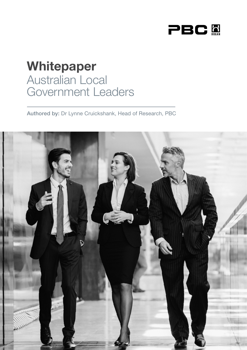

# Whitepaper Australian Local Government Leaders

Authored by: Dr Lynne Cruickshank, Head of Research, PBC

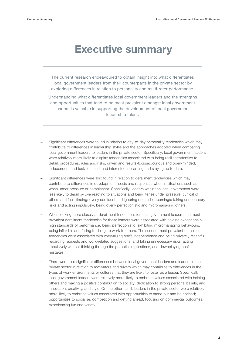### Executive summary

The current research endeavoured to obtain insight into what differentiates local government leaders from their counterparts in the private sector by exploring differences in relation to personality and multi-rater performance.

Understanding what differentiates local government leaders and the strengths and opportunities that tend to be most prevalent amongst local government leaders is valuable in supporting the development of local government leadership talent.

- Significant differences were found in relation to day-to-day personality tendencies which may contribute to differences in leadership styles and the approaches adopted when comparing local government leaders to leaders in the private sector. Specifically, local government leaders were relatively more likely to display tendencies associated with being resilient;attentive to detail, procedures, rules and risks; driven and results-focused;curious and open-minded; independent and task-focused; and interested in learning and staying up to date.
- Significant differences were also found in relation to derailment tendencies which may contribute to differences in development needs and responses when in situations such as when under pressure or complacent. Specifically, leaders within the local government were less likely to derail by overreacting to situations and being tense under pressure; cynical of others and fault-finding; overly confident and ignoring one's shortcomings; taking unnecessary risks and acting impulsively; being overly perfectionistic and micromanaging others.
- When looking more closely at derailment tendencies for local government leaders, the most prevalent derailment tendencies for these leaders were associated with holding exceptionally high standards of performance, being perfectionistic, exhibiting micromanaging behaviours, being inflexible and failing to delegate work to others. The second most prevalent derailment tendencies were associated with overvaluing one's independence and being privately resentful regarding requests and work-related suggestions; and taking unnecessary risks, acting impulsively without thinking through the potential implications, and downplaying one's mistakes.
- There were also significant differences between local government leaders and leaders in the private sector in relation to motivators and drivers which may contribute to differences in the types of work environments or cultures that they are likely to foster as a leader. Specifically, local government leaders were relatively more likely to embrace values associated with helping others and making a positive contribution to society; dedication to strong personal beliefs; and innovation, creativity, and style. On the other hand, leaders in the private sector were relatively more likely to embrace values associated with opportunities to stand out and be noticed; opportunities to socialise; competition and getting ahead; focusing on commercial outcomes; experiencing fun and variety.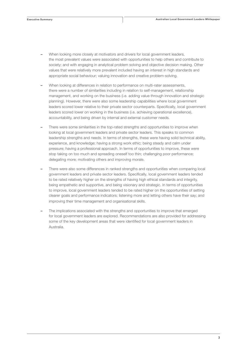- When looking more closely at motivators and drivers for local government leaders, the most prevalent values were associated with opportunities to help others and contribute to society; and with engaging in analytical problem solving and objective decision making. Other values that were relatively more prevalent included having an interest in high standards and appropriate social behaviour; valuing innovation and creative problem-solving.
- When looking at differences in relation to performance on multi-rater assessments, there were a number of similarities including in relation to self-management, relationship management, and working on the business (i.e. adding value through innovation and strategic planning). However, there were also some leadership capabilities where local government leaders scored lower relative to their private sector counterparts. Specifically, local government leaders scored lower on working in the business (i.e. achieving operational excellence), accountability, and being driven by internal and external customer needs.
- There were some similarities in the top-rated strengths and opportunities to improve when looking at local government leaders and private sector leaders. This speaks to common leadership strengths and needs. In terms of strengths, these were having solid technical ability, experience, and knowledge; having a strong work ethic; being steady and calm under pressure; having a professional approach. In terms of opportunities to improve, these were stop taking on too much and spreading oneself too thin; challenging poor performance; delegating more; motivating others and improving morale.
- There were also some differences in ranked strengths and opportunities when comparing local government leaders and private sector leaders. Specifically, local government leaders tended to be rated relatively higher on the strengths of having high ethical standards and integrity, being empathetic and supportive, and being visionary and strategic. In terms of opportunities to improve, local government leaders tended to be rated higher on the opportunities of setting clearer goals and performance indicators; listening more and letting others have their say; and improving their time management and organisational skills.
- The implications associated with the strengths and opportunities to improve that emerged for local government leaders are explored. Recommendations are also provided for addressing some of the key development areas that were identified for local government leaders in Australia.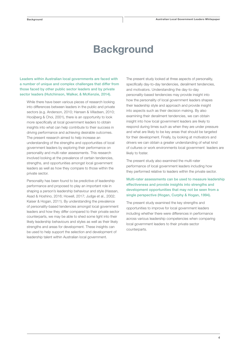# **Background**

Leaders within Australian local governments are faced with a number of unique and complex challenges that differ from those faced by other public sector leaders and by private sector leaders (Hutchinson, Walker, & McKenzie, 2014).

While there have been various pieces of research looking into differences between leaders in the public and private sectors (e.g. Anderson, 2010; Hansen & Villadsen, 2010; Hooijberg & Choi, 2001), there is an opportunity to look more specifically at local government leaders to obtain insights into what can help contribute to their success in driving performance and achieving desirable outcomes. The present research aimed to help increase an understanding of the strengths and opportunities of local government leaders by exploring their performance on personality and multi-rater assessments. This research involved looking at the prevalence of certain tendencies, strengths, and opportunities amongst local government leaders as well as how they compare to those within the private sector.

Personality has been found to be predictive of leadership performance and proposed to play an important role in shaping a person's leadership behaviour and style (Hassan, Asad & Hoshino, 2016; Howell, 2017; Judge et al., 2002; Kaiser & Hogan, 2011). By understanding the prevalence of personality-based tendencies amongst local government leaders and how they differ compared to their private sector counterparts, we may be able to shed some light into their likely leadership behaviours and styles as well as their likely strengths and areas for development. These insights can be used to help support the selection and development of leadership talent within Australian local government.

The present study looked at three aspects of personality, specifically day-to-day tendencies, derailment tendencies, and motivators. Understanding the day-to-day personality-based tendencies may provide insight into how the personality of local government leaders shapes their leadership style and approach and provide insight into aspects such as their decision making. By also examining their derailment tendencies, we can obtain insight into how local government leaders are likely to respond during times such as when they are under pressure and what are likely to be key areas that should be targeted for their development. Finally, by looking at motivators and drivers we can obtain a greater understanding of what kind of cultures or work environments local government leaders are likely to foster.

The present study also examined the multi-rater performance of local government leaders including how they performed relative to leaders within the private sector.

#### Multi-rater assessments can be used to measure leadership effectiveness and provide insights into strengths and development opportunities that may not be seen from a single perspective (Hogan, Curphy & Hogan, 1994).

The present study examined the key strengths and opportunities to improve for local government leaders including whether there were differences in performance across various leadership competencies when comparing local government leaders to their private sector counterparts.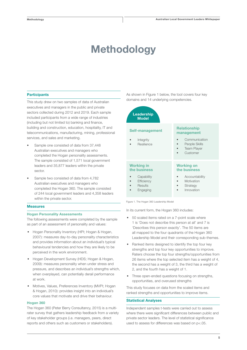# Methodology

#### **Participants**

This study drew on two samples of data of Australian executives and managers in the public and private sectors collected during 2012 and 2019. Each sample included participants from a wide range of industries (including but not limited to) banking and finance, building and construction, education, hospitality, IT and telecommunications, manufacturing, mining, professional services, and sales and marketing.

- Sample one consisted of data from 37,448 Australian executives and managers who completed the Hogan personality assessments. The sample consisted of 1,571 local government leaders and 35,877 leaders within the private sector.
- Sample two consisted of data from 4,782 Australian executives and managers who completed the Hogan 360. The sample consisted of 244 local government leaders and 4,358 leaders within the private sector.

#### Measures

#### Hogan Personality Assessments

The following assessments were completed by the sample as part of an assessment of personality and values:

- Hogan Personality Inventory (HPI; Hogan & Hogan, 2007): measures day-to-day personality characteristics and provides information about an individual's typical behavioural tendencies and how they are likely to be perceived in the work environment.
- Hogan Development Survey (HDS; Hogan & Hogan, 2009): measures personality when under stress and pressure, and describes an individual's strengths which, when overplayed, can potentially derail performance at work.
- Motives, Values, Preferences Inventory (MVPI; Hogan & Hogan, 2010): provides insight into an individual's core values that motivate and drive their behaviour.

#### Hogan 360

The Hogan 360 (Peter Berry Consultancy, 2015) is a multirater survey that gathers leadership feedback from a variety of key stakeholder groups (i.e. managers, peers, direct reports and others such as customers or stakeholders).

As shown in Figure 1 below, the tool covers four key domains and 14 underlying competencies.



In its current form, the Hogan 360 includes:

- 50 scaled items rated on a 7-point scale where 1 is 'Does not describe this person at all' and 7 is 'Describes this person exactly'. The 50 items are all mapped to the four quadrants of the Hogan 360 Leadership Model and their corresponding sub-themes.
- Ranked items designed to identify the top four key strengths and top four key opportunities to improve. Raters choose the top four strengths/opportunities from 26 items where the top selected item has a weight of 4, the second has a weight of 3, the third has a weight of 2, and the fourth has a weight of 1.
- Three open-ended questions focusing on strengths, opportunities, and overused strengths

This study focuses on data from the scaled items and ranked strengths and opportunities to improve items.

#### Statistical Analyses

Independent samples t-tests were carried out to assess where there were significant differences between public and private sector leaders. The level of statistical significance used to assess for differences was based on p<.05.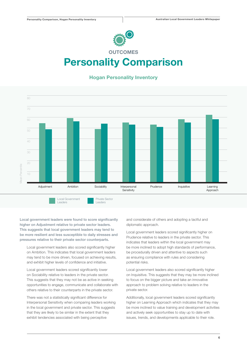

# Personality Comparison

### Hogan Personality Inventory



Local government leaders were found to score significantly higher on Adjustment relative to private sector leaders. This suggests that local government leaders may tend to be more resilient and less susceptible to daily stresses and pressures relative to their private sector counterparts.

Local government leaders also scored significantly higher on Ambition. This indicates that local government leaders may tend to be more driven, focused on achieving results, and exhibit higher levels of confidence and initiative.

Local government leaders scored significantly lower on Sociability relative to leaders in the private sector. This suggests that they may not be as active in seeking opportunities to engage, communicate and collaborate with others relative to their counterparts in the private sector.

There was not a statistically significant difference for Interpersonal Sensitivity when comparing leaders working in the local government and private sector. This suggests that they are likely to be similar in the extent that they exhibit tendencies associated with being perceptive

and considerate of others and adopting a tactful and diplomatic approach.

Local government leaders scored significantly higher on Prudence relative to leaders in the private sector. This indicates that leaders within the local government may be more inclined to adopt high standards of performance, be procedurally driven and attentive to aspects such as ensuring compliance with rules and considering potential risks.

Local government leaders also scored significantly higher on Inquisitive. This suggests that they may be more inclined to focus on the bigger picture and take an innovative approach to problem solving relative to leaders in the private sector.

Additionally, local government leaders scored significantly higher on Learning Approach which indicates that they may be more inclined to value training and development activities and actively seek opportunities to stay up to date with issues, trends, and developments applicable to their role.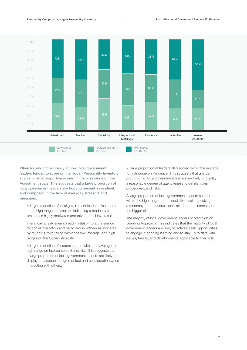

Personality Comparison Comparison Comparison (Comparison Comparison Comparison Comparison Comparison Comparison<br>Personality Comparison (Comparison Comparison Comparison Comparison Comparison Comparison Comparison Compariso

When looking more closely at how local government leaders tended to score on the Hogan Personality Inventory scales, a large proportion scored in the high range on the Adjustment scale. This suggests that a large proportion of local government leaders are likely to present as resilient and composed in the face of everyday stressors and pressures.

A large proportion of local government leaders also scored in the high range on Ambition indicating a tendency to present as highly motivated and driven to achieve results.

There was a fairly even spread in relation to a preference for social interaction and being around others as indicated by roughly a third falling within the low, average, and high ranges on the Sociability scale.

A large proportion of leaders scored within the average to high range on Interpersonal Sensitivity. This suggests that a large proportion of local government leaders are likely to display a reasonable degree of tact and consideration when interacting with others.

A large proportion of leaders also scored within the average to high range on Prudence. This suggests that a large proportion of local government leaders are likely to display a reasonable degree of attentiveness to details, rules, procedures, and risks.

A large proportion of local government leaders scored within the high range on the Inquisitive scale, speaking to a tendency to be curious, open-minded, and interested in the bigger picture.

The majority of local government leaders scored high on Learning Approach. This indicates that the majority of local government leaders are likely to actively seek opportunities to engage in ongoing learning and to stay up to date with issues, trends, and developments applicable to their role.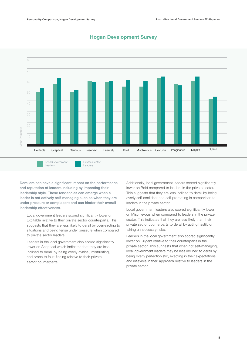

### Hogan Development Survey

Derailers can have a significant impact on the performance and reputation of leaders including by impacting their leadership style. These tendencies can emerge when a leader is not actively self-managing such as when they are under pressure or complacent and can hinder their overall leadership effectiveness.

Local government leaders scored significantly lower on Excitable relative to their private sector counterparts. This suggests that they are less likely to derail by overreacting to situations and being tense under pressure when compared to private sector leaders.

Leaders in the local government also scored significantly lower on Sceptical which indicates that they are less inclined to derail by being overly cynical, mistrusting, and prone to fault-finding relative to their private sector counterparts.

Additionally, local government leaders scored significantly lower on Bold compared to leaders in the private sector. This suggests that they are less inclined to derail by being overly self-confident and self-promoting in comparison to leaders in the private sector.

Local government leaders also scored significantly lower on Mischievous when compared to leaders in the private sector. This indicates that they are less likely than their private sector counterparts to derail by acting hastily or taking unnecessary risks.

Leaders in the local government also scored significantly lower on Diligent relative to their counterparts in the private sector. This suggests that when not self-managing, local government leaders may be less inclined to derail by being overly perfectionistic, exacting in their expectations, and inflexible in their approach relative to leaders in the private sector.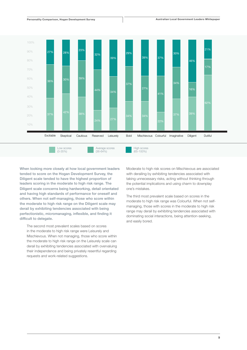

Personality Comparison

When looking more closely at how local government leaders tended to score on the Hogan Development Survey, the Diligent scale tended to have the highest proportion of leaders scoring in the moderate to high risk range. The Diligent scale concerns being hardworking, detail orientated and having high standards of performance for oneself and others. When not self-managing, those who score within the moderate to high risk range on the Diligent scale may derail by exhibiting tendencies associated with being perfectionistic, micromanaging, inflexible, and finding it difficult to delegate.

The second most prevalent scales based on scores in the moderate to high risk range were Leisurely and Mischievous. When not managing, those who score within the moderate to high risk range on the Leisurely scale can derail by exhibiting tendencies associated with overvaluing their independence and being privately resentful regarding requests and work-related suggestions.

Moderate to high risk scores on Mischievous are associated with derailing by exhibiting tendencies associated with taking unnecessary risks, acting without thinking through the potential implications and using charm to downplay one's mistakes.

The third most prevalent scale based on scores in the moderate to high risk range was Colourful. When not selfmanaging, those with scores in the moderate to high risk range may derail by exhibiting tendencies associated with dominating social interactions, being attention-seeking, and easily bored.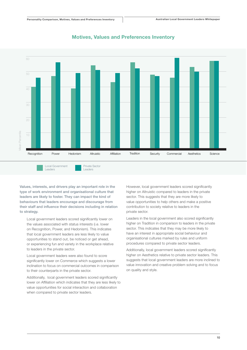

### Motives, Values and Preferences Inventory

Values, interests, and drivers play an important role in the type of work environment and organisational culture that leaders are likely to foster. They can impact the kind of behaviours that leaders encourage and discourage from their staff and influence their decisions including in relation to strategy.

Local government leaders scored significantly lower on the values associated with status interests (i.e. lower on Recognition, Power, and Hedonism). This indicates that local government leaders are less likely to value opportunities to stand out, be noticed or get ahead, or experiencing fun and variety in the workplace relative to leaders in the private sector.

Local government leaders were also found to score significantly lower on Commerce which suggests a lower inclination to focus on commercial outcomes in comparison to their counterparts in the private sector.

Additionally, local government leaders scored significantly lower on Affiliation which indicates that they are less likely to value opportunities for social interaction and collaboration when compared to private sector leaders.

However, local government leaders scored significantly higher on Altruistic compared to leaders in the private sector. This suggests that they are more likely to value opportunities to help others and make a positive contribution to society relative to leaders in the private sector.

Leaders in the local government also scored significantly higher on Tradition in comparison to leaders in the private sector. This indicates that they may be more likely to have an interest in appropriate social behaviour and organisational cultures marked by rules and uniform procedures compared to private sector leaders.

Additionally, local government leaders scored significantly higher on Aesthetics relative to private sector leaders. This suggests that local government leaders are more inclined to value innovation and creative problem solving and to focus on quality and style.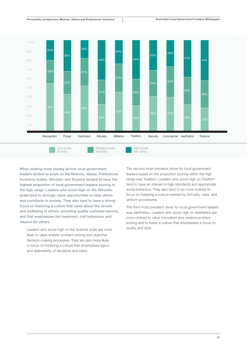

When looking more closely at how local government leaders tended to score on the Motives, Values, Preferences Inventory scales, Altruistic and Science tended to have the highest proportion of local government leaders scoring in the high range. Leaders who score high on the Altruistic scale tend to strongly value opportunities to help others and contribute to society. They also tend to have a strong focus on fostering a culture that cares about the morale and wellbeing of others, providing quality customer service, and that emphasises fair treatment, civil behaviour, and respect for others.

Leaders who score high on the Science scale are more likely to value analytic problem solving and objective decision-making processes. They are also more likely to focus on fostering a culture that emphasises rigour and defensibility of decisions and plans.

The second most prevalent driver for local government leaders based on the proportion scoring within the high range was Tradition. Leaders who score high on Tradition tend to have an interest in high standards and appropriate social behaviour. They also tend to be more inclined to focus on fostering a culture marked by formality, rules, and uniform procedures.

The third most prevalent driver for local government leaders was Aesthetics. Leaders who score high on Aesthetics are more inclined to value innovation and creative problem solving and to foster a culture that emphasises a focus on quality and style.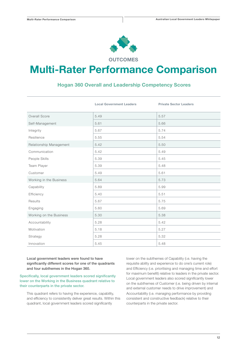

**OUTCOMES** 

## Multi-Rater Performance Comparison

### Hogan 360 Overall and Leadership Competency Scores

|                         | <b>Local Government Leaders</b> | <b>Private Sector Leaders</b> |
|-------------------------|---------------------------------|-------------------------------|
| Overall Score           | 5.49                            | 5.57                          |
| Self-Management         | 5.61                            | 5.66                          |
| Integrity               | 5.67                            | 5.74                          |
| Resilience              | 5.55                            | 5.54                          |
| Relationship Management | 5.42                            | 5.50                          |
| Communication           | 5.42                            | 5.49                          |
| People Skills           | 5.39                            | 5.45                          |
| Team Player             | 5.39                            | 5.48                          |
| Customer                | 5.49                            | 5.61                          |
| Working in the Business | 5.64                            | 5.73                          |
| Capability              | 5.89                            | 5.99                          |
| Efficiency              | 5.40                            | 5.51                          |
| Results                 | 5.67                            | 5.75                          |
| Engaging                | 5.60                            | 5.69                          |
| Working on the Business | 5.30                            | 5.38                          |
| Accountability          | 5.28                            | 5.42                          |
| Motivation              | 5.18                            | 5.27                          |
| Strategy                | 5.28                            | 5.32                          |
| Innovation              | 5.45                            | 5.48                          |

Local government leaders were found to have significantly different scores for one of the quadrants and four subthemes in the Hogan 360.

Specifically, local government leaders scored significantly lower on the Working in the Business quadrant relative to their counterparts in the private sector.

This quadrant refers to having the experience, capability, and efficiency to consistently deliver great results. Within this quadrant, local government leaders scored significantly

lower on the subthemes of Capability (i.e. having the requisite ability and experience to do one's current role) and Efficiency (i.e. prioritising and managing time and effort for maximum benefit) relative to leaders in the private sector. Local government leaders also scored significantly lower on the subthemes of Customer (i.e. being driven by internal and external customer needs to drive improvement) and Accountability (i.e. managing performance by providing consistent and constructive feedback) relative to their counterparts in the private sector.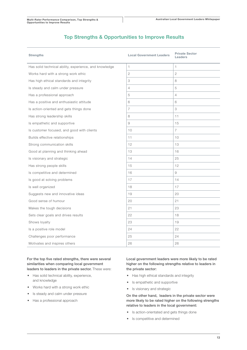### Top Strengths & Opportunities to Improve Results

| <b>Strengths</b>                                       | <b>Local Government Leaders</b> | <b>Private Sector</b><br>Leaders |
|--------------------------------------------------------|---------------------------------|----------------------------------|
| Has solid technical ability, experience, and knowledge | $\mathbf{1}$                    | 1.                               |
| Works hard with a strong work ethic                    | $\overline{2}$                  | 2                                |
| Has high ethical standards and integrity               | 3                               | 8                                |
| Is steady and calm under pressure                      | $\overline{4}$                  | 5                                |
| Has a professional approach                            | 5                               | $\overline{4}$                   |
| Has a positive and enthusiastic attitude               | 6                               | 6                                |
| Is action-oriented and gets things done                | $\overline{7}$                  | 3                                |
| Has strong leadership skills                           | 8                               | 11                               |
| Is empathetic and supportive                           | 9                               | 15                               |
| Is customer focused, and good with clients             | 10                              | $\overline{7}$                   |
| Builds effective relationships                         | 11                              | 10                               |
| Strong communication skills                            | 12                              | 13                               |
| Good at planning and thinking ahead                    | 13                              | 16                               |
| Is visionary and strategic                             | 14                              | 25                               |
| Has strong people skills                               | 15                              | 12                               |
| Is competitive and determined                          | 16                              | 9                                |
| Is good at solving problems                            | 17                              | 14                               |
| Is well organized                                      | 18                              | 17                               |
| Suggests new and innovative ideas                      | 19                              | 20                               |
| Good sense of humour                                   | 20                              | 21                               |
| Makes the tough decisions                              | 21                              | 23                               |
| Sets clear goals and drives results                    | 22                              | 18                               |
| Shows loyalty                                          | 23                              | 19                               |
| Is a positive role model                               | 24                              | 22                               |
| Challenges poor performance                            | 25                              | 24                               |
| Motivates and inspires others                          | 26                              | 26                               |

For the top five rated strengths, there were several similarities when comparing local government leaders to leaders in the private sector. These were:

- Has solid technical ability, experience, and knowledge
- Works hard with a strong work ethic
- Is steady and calm under pressure
- Has a professional approach

Local government leaders were more likely to be rated higher on the following strengths relative to leaders in the private sector:

- Has high ethical standards and integrity
- Is empathetic and supportive
- Is visionary and strategic

On the other hand, leaders in the private sector were more likely to be rated higher on the following strengths relative to leaders in the local government:

- Is action-orientated and gets things done
- Is competitive and determined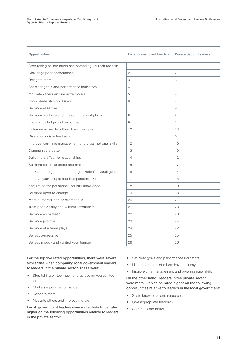| <b>Opportunities</b> |  |
|----------------------|--|
|----------------------|--|

#### Local Government Leaders Private Sector Leaders

| Stop taking on too much and spreading yourself too thin    | $\mathbf{1}$   | $\mathbf{1}$   |
|------------------------------------------------------------|----------------|----------------|
| Challenge poor performance                                 | 2              | $\overline{2}$ |
| Delegate more                                              | 3              | 3              |
| Set clear goals and performance indicators                 | $\overline{4}$ | 11             |
| Motivate others and improve morale                         | 5              | $\overline{4}$ |
| Show leadership on issues                                  | 6              | $\overline{7}$ |
| Be more assertive                                          | $\overline{7}$ | 9              |
| Be more available and visible in the workplace             | 8              | 8              |
| Share knowledge and resources                              | 9              | 5              |
| Listen more and let others have their say                  | 10             | 13             |
| Give appropriate feedback                                  | 11             | 6              |
| Improve your time management and organizational skills     | 12             | 16             |
| Communicate better                                         | 13             | 10             |
| Build more effective relationships                         | 14             | 12             |
| Be more action-oriented and make it happen                 | 15             | 17             |
| Look at the big picture - the organization's overall goals | 16             | 14             |
| Improve your people and interpersonal skills               | 17             | 15             |
| Acquire better job and/or industry knowledge               | 18             | 19             |
| Be more open to change                                     | 19             | 18             |
| More customer and/or client focus                          | 20             | 21             |
| Treat people fairly and without favouritism                | 21             | 23             |
| Be more empathetic                                         | 22             | 20             |
| Be more positive                                           | 23             | 24             |
| Be more of a team player                                   | 24             | 22             |
| Be less aggressive                                         | 25             | 25             |
| Be less moody and control your temper                      | 26             | 26             |

For the top five rated opportunities, there were several similarities when comparing local government leaders to leaders in the private sector. These were:

- Stop taking on too much and spreading yourself too thin
- Challenge poor performance
- Delegate more
- Motivate others and improve morale

Local government leaders were more likely to be rated higher on the following opportunities relative to leaders in the private sector:

- Set clear goals and performance indicators
- Listen more and let others have their say
- Improve time management and organisational skills

On the other hand, leaders in the private sector were more likely to be rated higher on the following opportunities relative to leaders in the local government:

- Share knowledge and resources
- Give appropriate feedback
- Communicate better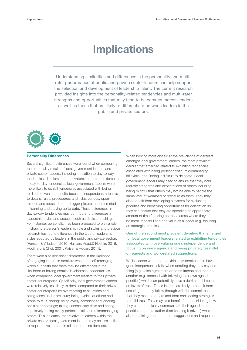# Implications

Understanding similarities and differences in the personality and multirater performance of public and private sector leaders can help support the selection and development of leadership talent. The current research provided insights into the personality-related tendencies and multi-rater strengths and opportunities that may tend to be common across leaders as well as those that are likely to differentiate between leaders in the public and private sectors.



#### Personality Differences

Several significant differences were found when comparing the personality results of local government leaders and private sector leaders, including in relation to day-to-day tendencies, derailers, and motivators. In terms of differences in day-to-day tendencies, local government leaders were more likely to exhibit tendencies associated with being resilient; driven and results-focused; independent; attentive to details, rules, procedures, and risks; curious, openminded and focused on the bigger picture; and interested in learning and staying up to date. These differences in day-to-day tendencies may contribute to differences in leadership styles and aspects such as decision making. For instance, personality has been proposed to play a role in shaping a person's leadership role and styles and previous research has found differences in the type of leadership styles adopted by leaders in the public and private sectors (Hansen & Villadsen, 2010; Hassan, Asad,& Hoshin, 2016; Hooijnerg & Choi, 2001; Kaiser & Hogan, 2011).

There were also significant differences in the likelihood of engaging in certain derailers when not self-managing which suggests that there may be differences in the likelihood of having certain development opportunities when comparing local government leaders to their private sector counterparts. Specifically, local government leaders were relatively less likely to derail compared to their private sector counterparts by overreacting to situations and being tense under pressure; being cynical of others and prone to fault-finding; being overly confident and ignoring one's shortcomings; taking unnecessary risks and acting impulsively; being overly perfectionistic and micromanaging others. This indicates, that relative to leaders within the private sector, local government leaders may be less inclined to require development in relation to these derailers.

When looking more closely at the prevalence of derailers amongst local government leaders, the most prevalent derailer that emerged related to exhibiting tendencies associated with being perfectionistic, micromanaging, inflexible, and finding it difficult to delegate. Local government leaders may need to ensure that they hold realistic standards and expectations of others including being mindful that others may not be able to handle the same level of workload or pressure as them. They may also benefit from developing a system for evaluating priorities and identifying opportunities for delegation so they can ensure that they are spending an appropriate amount of time focusing on those areas where they can be most impactful and add value as a leader (e.g. focusing on strategic priorities).

One of the second most prevalent derailers that emerged for local government leaders related to exhibiting tendencies associated with overvaluing one's independence and focusing on one's agenda and being privately resentful of requests and work-related suggestions.

While leaders who tend to exhibit this derailer often have good interpersonal skills, when derailing they may say one thing (e.g. voice agreement or commitment) and then do another (e.g. proceed with following their own agenda or priorities) which can potentially have a detrimental impact on levels of trust. These leaders are likely to benefit from ensuring that they follow through with the commitments that they make to others and from considering strategies to build trust. They may also benefit from considering how they can more clearly communicate their agenda and priorities to others (rather than keeping it private) while also remaining open to others' suggestions and requests.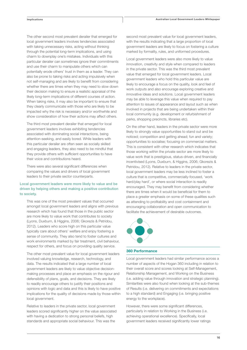The other second most prevalent derailer that emerged for local government leaders involves tendencies associated with taking unnecessary risks, acting without thinking through the potential long-term implications, and using charm to downplay one's mistakes. Individuals with this particular derailer can sometimes ignore their commitments and use their charm to manipulate others which can potentially erode others' trust in them as a leader. They can also be prone to taking risks and acting impulsively when not self-managing and are likely to benefit from considering whether there are times when they may need to slow down their decision making to ensure a realistic appraisal of the likely long-term implications of different courses of action. When taking risks, it may also be important to ensure that they clearly communicate with those who are likely to be impacted why the risk is necessary and/or worthwhile and show consideration of how their actions may affect others.

The third most prevalent derailer that emerged for local government leaders involves exhibiting tendencies associated with dominating social interactions, being attention-seeking, and easily bored. While leaders with this particular derailer are often seen as socially skilled and engaging leaders, they also need to be mindful that they provide others with sufficient opportunities to have their voice and contributions heard.

There were also several significant differences when comparing the values and drivers of local government leaders to their private sector counterparts.

#### Local government leaders were more likely to value and be driven by helping others and making a positive contribution to society.

This was one of the most prevalent values that occurred amongst local government leaders and aligns with previous research which has found that those in the public sector are more likely to value work that contributes to society (Lyons, Duxburn, & Higgins, 2006; Gkorezis & Petridou, 2012). Leaders who score high on this particular value typically care about others' welfare and enjoy fostering a sense of community. They also tend to foster cultures and work environments marked by fair treatment, civil behaviour, respect for others, and focus on providing quality service.

The other most prevalent value for local government leaders involved valuing knowledge, research, technology, and data. The results indicated that a large number of local government leaders are likely to value objective decisionmaking processes and place an emphasis on the rigour and defensibility of plans, goals, and decisions. They are likely to readily encourage others to justify their positions and opinions with logic and data and this is likely to have positive implications for the quality of decisions made by those within local government.

Relative to leaders in the private sector, local government leaders scored significantly higher on the value associated with having a dedication to strong personal beliefs, high standards and appropriate social behaviour. This was the

second most prevalent value for local government leaders, with the results indicating that a large proportion of local government leaders are likely to focus on fostering a culture marked by formality, rules, and uniformed procedures.

Local government leaders were also more likely to value innovation, creativity and style when compared to leaders in the private sector. This was the third most prevalent value that emerged for local government leaders. Local government leaders who hold this particular value are likely to encourage a focus on the quality, look and feel of work outputs and also encourage exploring creative and innovative ideas and solutions. Local government leaders may be able to leverage this value when required to pay attention to issues of appearance and layout such as when involved in projects that are being undertaken within their local community (e.g. development or refurbishment of parks, shopping precincts, libraries etc).

On the other hand, leaders in the private sector were more likely to strongly value opportunities to stand out and be noticed; competition and getting ahead; fun and variety; opportunities to socialise; focusing on commercial matters. This is consistent with other research which indicates that those working within the private sector are more likely to value work that is prestigious, status-driven, and financially incentivised (Lyons, Duxburn, & Higgins, 2006; Gkorezis & Petridou, 2012). Relative to leaders in the private sector, local government leaders may be less inclined to foster a culture that is competitive, commercially-focused, 'work hard/play hard', or where social interaction is readily encouraged. They may benefit from considering whether there are times when it would be beneficial for them to place a greater emphasis on some of these qualities such as attending to profitability and cost containment and encouraging collaboration and open communication to facilitate the achievement of desirable outcomes.



#### 360 Performance

Local government leaders had similar performance across a number of aspects of the Hogan 360 including in relation to their overall score and scores looking at Self-Management, Relationship Management, and Working on the Business (i.e. adding value through innovation and strategic planning). Similarities were also found when looking at the sub-themes of Results (i.e. delivering on commitments and expectations to a high standard) and Engaging (i.e. bringing positive energy to the workplace).

However, there were some significant differences, particularly in relation to Working in the Business (i.e. achieving operational excellence). Specifically, local government leaders received significantly lower ratings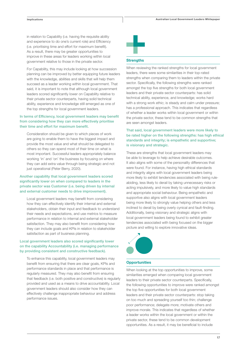in relation to Capability (i.e. having the requisite ability and experience to do one's current role) and Efficiency (i.e. prioritising time and effort for maximum benefit). As a result, there may be greater opportunities to improve in these areas for leaders working within local government relative to those in the private sector.

For Capability, this may include looking at how succession planning can be improved by better equipping future leaders with the knowledge, abilities and skills that will help them succeed as a leader working within local government. That said, it is important to note that although local government leaders scored significantly lower on Capability relative to their private sector counterparts, having solid technical ability, experience and knowledge still emerged as one of the top strengths for local government leaders.

#### In terms of Efficiency, local government leaders may benefit from considering how they can more effectively prioritise their time and effort for maximum benefit.

Consideration should be given to which pieces of work are going to enable them to have the biggest impact and provide the most value and what should be delegated to others so they can spend most of their time on what is most important. Successful leaders appropriately balance working 'in' and 'on' the business by focusing on where they can add extra value through being strategic and not just operational (Peter Berry, 2020).

#### Another capability that local government leaders scored significantly lower on when compared to leaders in the private sector was Customer (i.e. being driven by internal and external customer needs to drive improvement).

Local government leaders may benefit from considering how they can effectively identify their internal and external stakeholders, obtain their input and feedback to understand their needs and expectations, and use metrics to measure performance in relation to internal and external stakeholder satisfaction. They may also benefit from considering how they can include goals and KPIs in relation to stakeholder satisfaction as part of business planning.

#### Local government leaders also scored significantly lower on the capability Accountability (i.e. managing performance by providing consistent and constructive feedback).

To enhance this capability, local government leaders may benefit from ensuring that there are clear goals, KPIs and performance standards in place and that performance is regularly measured. They may also benefit from ensuring that feedback (i.e. both positive and constructive) is regularly provided and used as a means to drive accountability. Local government leaders should also consider how they can effectively challenge inappropriate behaviour and address performance issues.



#### **Strengths**

When reviewing the ranked strengths for local government leaders, there were some similarities in their top-rated strengths when comparing them to leaders within the private sector. Specifically, the following strengths were ranked amongst the top five strengths for both local government leaders and their private sector counterparts: has solid technical ability, experience, and knowledge; works hard with a strong work ethic; is steady and calm under pressure; has a professional approach. This indicates that regardless of whether a leader works within local government or within the private sector, these tend to be common strengths that are seen amongst leaders.

#### That said, local government leaders were more likely to be rated higher on the following strengths: has high ethical standards and integrity; is empathetic and supportive; is visionary and strategic.

These are strengths that local government leaders may be able to leverage to help achieve desirable outcomes. It also aligns with some of the personality differences that were found. For instance, having high ethical standards and integrity aligns with local government leaders being more likely to exhibit tendencies associated with being ruleabiding, less likely to derail by taking unnecessary risks or acting impulsively, and more likely to value high standards and appropriate social behaviour. Being empathetic and supportive also aligns with local government leaders being more likely to strongly value helping others and less inclined to derail by being overly cynical and fault-finding. Additionally, being visionary and strategic aligns with local government leaders being found to exhibit greater tendencies associated with being focused on the bigger picture and willing to explore innovative ideas.



#### **Opportunities**

When looking at the top opportunities to improve, some similarities emerged when comparing local government leaders to their private sector counterparts. Specifically, the following opportunities to improve were ranked amongst the top five opportunities for both local government leaders and their private sector counterparts: stop taking on too much and spreading yourself too thin; challenge poor performance; delegate more; motivate others and improve morale. This indicates that regardless of whether a leader works within the local government or within the private sector, these tend to be common development opportunities. As a result, it may be beneficial to include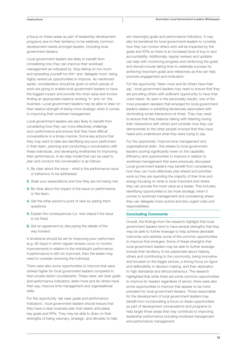a focus on these areas as part of leadership development programs due to their tendency to be relatively common development needs amongst leaders, including local government leaders.

Local government leaders are likely to benefit from considering how they can improve their workload management as indicated by 'stop taking on too much and spreading yourself too thin' and 'delegate more' being highly ranked as opportunities to improve. As mentioned earlier, consideration should be given to which pieces of work are going to enable local government leaders to have the biggest impact and provide the most value and involve finding an appropriate balance working 'in' and 'on' the business. Local government leaders may be able to draw on their relative strength of being more strategic when it comes to improving their workload management.

Local government leaders are also likely to benefit from considering how they can more effectively challenge poor performance and ensure that they have difficult conversations in a timely manner. Some key actions that they may want to take are identifying any poor performers in their team, planning and conducting a conversation with these individuals, and developing timeframes for improving their performance. A six-step model that can be used to plan and conduct the conversation is as follows:

- 1. Be clear about the issue what is the performance issue or behaviour to be addressed.
- 2. State your expectations and how they are not being met.
- **3.** Be clear about the impact of the issue on performance or the team.
- 4. Get the other person's point of view by asking them questions.
- **5.** Explain the consequences (i.e. next steps) if the issue is not fixed.
- 6. Get an agreement by discussing the details of the way forward.

A timeframe should be set for improving poor performers (e.g. 90 days) in which regular reviews occur to monitor improvements in relation to the individual's performance. If performance is still not improved, then the leader may need to consider removing the individual.

There were also some opportunities to improve that were ranked higher for local government leaders compared to their private sector counterparts. These were: set clear goals and performance indicators; listen more and let others have their say; improve time management and organisational skills.

For the opportunity 'set clear goals and performance indicators', local government leaders should ensure that they have a clear business plan that clearly articulates key goals and KPIs. They may be able to draw on their strengths of being visionary, strategic, and altruistic to help set meaningful goals and performance indicators. It may also be beneficial for local government leaders to consider how they can involve others who will be impacted by the goals and KPIs so there is an increased level of buy-in and accountability. Additionally, regular reviews and updates can help with monitoring progress and reinforcing the goals and should include taking time to celebrate success for achieving important goals and milestones as this can help promote engagement and motivation.

For the opportunity 'listen more and let others have their say', local government leaders may need to ensure that they are providing others with sufficient opportunity to have their voice heard. As seen in the personality results, one of the more prevalent derailers that emerged for local government leaders relates to exhibiting tendencies associated with dominating social interactions at times. They may need to ensure that they balance talking with listening during their interactions with others and consider how they can demonstrate to the other people involved that they have heard and understood what they were trying to say.

For the opportunity 'improve time management and organisational skills', this relates to local government leaders scoring significantly lower on the capability Efficiency and opportunities to improve in relation to workload management that were previously discussed. Local government leaders may benefit from considering how they can more effectively plan ahead and prioritise work so they are spending the majority of their time and energy focusing on what is most important and where they can provide the most value as a leader. This includes identifying opportunities to be more strategic when it comes to workload management and considering where they can delegate more routine and less urgent roles and responsibilities.

#### Concluding Comments

Overall, the findings from the research highlight that local government leaders tend to have several strengths that they may be able to further leverage to help achieve desirable outcomes and address some of the common opportunities to improve that emerged. Some of these strengths that local government leaders may be able to further leverage include their tendency to be passionate about helping others and contributing to the community, being innovative and focused on the bigger picture, a strong focus on rigour and defensibility in decision making, and their dedication to high standards and ethical behaviour. The research highlighted that while there are some common opportunities to improve for leaders regardless of sector, there were also some opportunities to improve that appear to be more prevalent for local government leaders. Those responsible for the development of local government leaders may benefit from incorporating a focus on these opportunities as part of development conversations and programs to help target those areas that may contribute to improving leadership performance including workload management and performance management.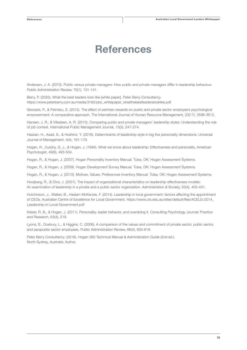### References

Andersen, J. A. (2010). Public versus private managers: How public and private managers differ in leadership behaviour. *Public Administration Review,* 70(1), 131-141.

Berry, P. (2020). What the best leaders look like [white paper]. Peter Berry Consultancy. https://www.peterberry.com.au/media/3183/pbc\_whitepaper\_whatthebestleaderslooklike.pdf

Gkorezis, P., & Petridou, E. (2012). The effect of extrinsic rewards on public and private sector employee's psychological empowerment: A comparative approach. The International Journal of Human Resource Management, 23(17), 3596-3612.

Hansen, J. R., & Villadsen, A. R. (2010). Comparing public and private managers' leadership styles: Understanding the role of job context. International Public Management Journal, 13(3), 247-274.

Hassan, H., Asad, S., & Hoshino, Y. (2016). Determinants of leadership style in big five personality dimensions. Universal Journal of Management, 4(4), 161-179.

Hogan, R., Curphy, G. J., & Hogan, J. (1994). What we know about leadership: Effectiveness and personality. American Psychologist, 49(6), 493-504.

Hogan, R., & Hogan, J. (2007). Hogan Personality Inventory Manual. Tulsa, OK: Hogan Assessment Systems.

Hogan, R., & Hogan, J. (2009). Hogan Development Survey Manual. Tulsa, OK: Hogan Assessment Systems.

Hogan, R., & Hogan, J. (2010). Motives, Values, Preferences Inventory Manual. Tulsa, OK: Hogan Assessment Systems.

Hooijberg, R., & Choi, J. (2001). The impact of organizational characteristics on leadership effectiveness models: An examination of leadership in a private and a public sector organization. Administration & Society, 33(4), 403-431.

Hutchinson, J., Walker, B., Haslam McKenzie, F. (2014). Leadership in local government: factors affecting the appointment of CEOs. Australian Centre of Excellence for Local Government. https://www.uts.edu.au/sites/default/files/ACELG-2014\_ Leadership-in-Local-Government.pdf

Kaiser, R. B., & Hogan, J. (2011). Personality, leader behavior, and overdoing it. Consulting Psychology Journal: Practice and Research, 63(4), 219.

Lyons, S., Duxbury, L., & Higgins, C. (2006). A comparison of the values and commitment of private sector, public sector, and parapublic sector employees. Public Administration Review, 66(4), 605-618.

Peter Berry Consultancy. (2018). Hogan 360 Technical Manual & Administration Guide (2nd ed.). North Sydney, Australia: Author.